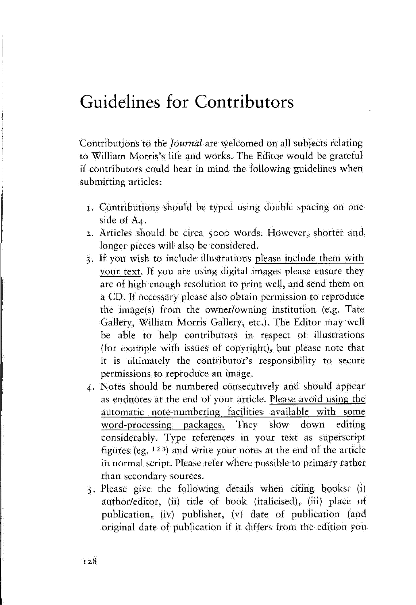## **Guidelines for Contributors**

Contributions to the *Journal* are welcomed on all subjects relating to William Morris's life and works. The Editor would be grateful if contributors could bear in mind the following guidelines when submitting articles:

- 1. Contributions should be typed using double spacing on one side of A4.
- 2. Articles should be circa 5000 words. However, shorter and longer pieces will also be considered.
- 3. If you wish to include illustrations please include them with your text. If you are using digital images please ensure they are of high enough resolution to print well, and send them on a CD. If necessary please also obtain permission to reproduce the image(s) from the owner/owning institution (e.g. Tate Gallery, William Morris Gallery, etc.). The Editor may well be able to help contributors in respect of illustrations (for example with issues of copyright), but please note that it is ultimately the contributor's responsibility to secure permissions to reproduce an image.
- 4. Notes should be numbered consecutively and should appear as endnotes at the end of your article. Please avoid using the automatic note-numbering facilities available with some word-processing packages. They slow down editing considerably. Type references in your text as superscript figures (eg. 123) and write your notes at the end of the article in normal script. Please refer where possible to primary rather than secondary sources.
- 5. Please give the following details when citing books: (i) author/editor, (ii) title of book (italicised), (iii) place of publication, (iv) publisher, (v) date of publication (and original date of publication if it differs from the edition you